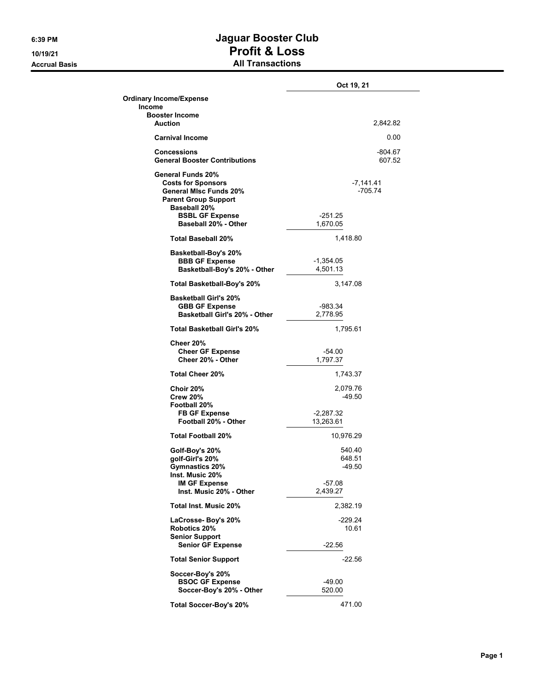**Accrual Basis** 

## **6:39 PM Jaguar Booster Club 10/19/21 Profit & Loss**

|  |  | <b>All Transactions</b> |
|--|--|-------------------------|
|--|--|-------------------------|

|                                                                                                                                                                                  | Oct 19, 21                                         |
|----------------------------------------------------------------------------------------------------------------------------------------------------------------------------------|----------------------------------------------------|
| <b>Ordinary Income/Expense</b><br>Income                                                                                                                                         |                                                    |
| <b>Booster Income</b><br>Auction                                                                                                                                                 | 2,842.82                                           |
| <b>Carnival Income</b>                                                                                                                                                           | 0.00                                               |
| <b>Concessions</b><br><b>General Booster Contributions</b>                                                                                                                       | -804.67<br>607.52                                  |
| General Funds 20%<br><b>Costs for Sponsors</b><br><b>General MIsc Funds 20%</b><br><b>Parent Group Support</b><br>Baseball 20%<br><b>BSBL GF Expense</b><br>Baseball 20% - Other | -7,141.41<br>$-705.74$<br>$-251.25$<br>1,670.05    |
| <b>Total Baseball 20%</b>                                                                                                                                                        | 1,418.80                                           |
| Basketball-Boy's 20%<br><b>BBB GF Expense</b><br>Basketball-Boy's 20% - Other                                                                                                    | $-1,354.05$<br>4,501.13                            |
| Total Basketball-Boy's 20%                                                                                                                                                       | 3,147.08                                           |
| <b>Basketball Girl's 20%</b><br><b>GBB GF Expense</b><br>Basketball Girl's 20% - Other                                                                                           | -983.34<br>2,778.95                                |
| <b>Total Basketball Girl's 20%</b>                                                                                                                                               | 1,795.61                                           |
| Cheer 20%<br><b>Cheer GF Expense</b><br>Cheer 20% - Other                                                                                                                        | -54.00<br>1,797.37                                 |
| <b>Total Cheer 20%</b>                                                                                                                                                           | 1,743.37                                           |
| Choir 20%<br><b>Crew 20%</b><br>Football 20%<br><b>FB GF Expense</b><br>Football 20% - Other                                                                                     | 2,079.76<br>$-49.50$<br>$-2,287.32$<br>13,263.61   |
| <b>Total Football 20%</b>                                                                                                                                                        | 10,976.29                                          |
| Golf-Boy's 20%<br>golf-Girl's 20%<br>Gymnastics 20%<br>Inst. Music 20%<br><b>IM GF Expense</b><br>Inst. Music 20% - Other                                                        | 540.40<br>648.51<br>-49.50<br>$-57.08$<br>2,439.27 |
| Total Inst. Music 20%                                                                                                                                                            | 2,382.19                                           |
| LaCrosse- Boy's 20%                                                                                                                                                              | -229.24                                            |
| Robotics 20%<br><b>Senior Support</b><br><b>Senior GF Expense</b>                                                                                                                | 10.61<br>$-22.56$                                  |
| <b>Total Senior Support</b>                                                                                                                                                      | $-22.56$                                           |
| Soccer-Boy's 20%<br><b>BSOC GF Expense</b><br>Soccer-Boy's 20% - Other                                                                                                           | -49.00<br>520.00                                   |
| Total Soccer-Boy's 20%                                                                                                                                                           | 471.00                                             |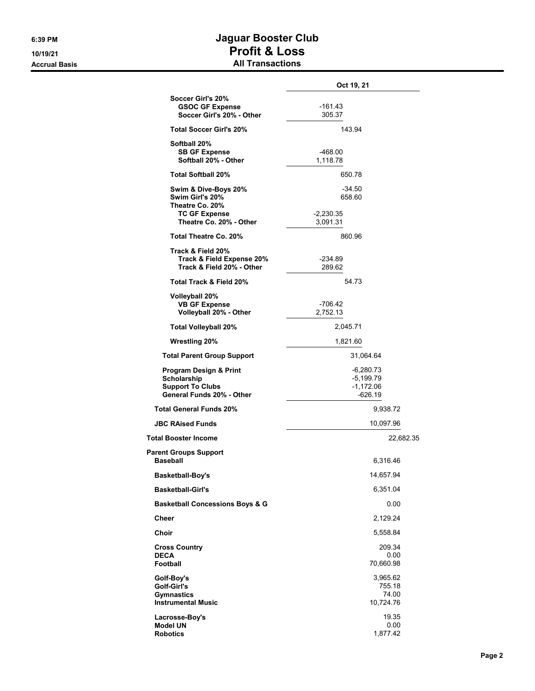## **6:39 PM Jaguar Booster Club 10/19/21 Profit & Loss Accrual Basis All Transactions**

|                                                                                                          | Oct 19, 21                                           |
|----------------------------------------------------------------------------------------------------------|------------------------------------------------------|
| Soccer Girl's 20%<br><b>GSOC GF Expense</b><br>Soccer Girl's 20% - Other                                 | $-161.43$<br>305.37                                  |
| <b>Total Soccer Girl's 20%</b>                                                                           | 143.94                                               |
| Softball 20%<br><b>SB GF Expense</b><br>Softball 20% - Other                                             | -468.00<br>1,118.78                                  |
| <b>Total Softball 20%</b>                                                                                | 650.78                                               |
| Swim & Dive-Boys 20%<br>Swim Girl's 20%<br>Theatre Co. 20%<br><b>TC GF Expense</b>                       | $-34.50$<br>658.60<br>-2,230.35                      |
| Theatre Co. 20% - Other                                                                                  | 3,091.31                                             |
| Total Theatre Co. 20%                                                                                    | 860.96                                               |
| Track & Field 20%<br>Track & Field Expense 20%<br>Track & Field 20% - Other                              | $-234.89$<br>289.62                                  |
| Total Track & Field 20%                                                                                  | 54.73                                                |
| Volleyball 20%<br><b>VB GF Expense</b><br>Volleyball 20% - Other                                         | $-706.42$<br>2,752.13                                |
| <b>Total Volleyball 20%</b>                                                                              | 2,045.71                                             |
| <b>Wrestling 20%</b>                                                                                     | 1,821.60                                             |
| <b>Total Parent Group Support</b>                                                                        | 31,064.64                                            |
| <b>Program Design &amp; Print</b><br>Scholarship<br><b>Support To Clubs</b><br>General Funds 20% - Other | $-6,280.73$<br>-5,199.79<br>$-1,172.06$<br>$-626.19$ |
| <b>Total General Funds 20%</b>                                                                           | 9,938.72                                             |
| <b>JBC RAised Funds</b>                                                                                  | 10,097.96                                            |
| <b>Total Booster Income</b>                                                                              | 22,682.35                                            |
| <b>Parent Groups Support</b><br>Baseball                                                                 | 6,316.46                                             |
| <b>Basketball-Boy's</b>                                                                                  | 14,657.94                                            |
| <b>Basketball-Girl's</b>                                                                                 | 6,351.04                                             |
| <b>Basketball Concessions Boys &amp; G</b>                                                               | 0.00                                                 |
| <b>Cheer</b>                                                                                             | 2,129.24                                             |
| Choir                                                                                                    | 5,558.84                                             |
| <b>Cross Country</b><br><b>DECA</b><br><b>Football</b>                                                   | 209.34<br>0.00<br>70,660.98                          |
| Golf-Boy's<br>Golf-Girl's<br><b>Gymnastics</b><br><b>Instrumental Music</b>                              | 3,965.62<br>755.18<br>74.00<br>10,724.76             |
| Lacrosse-Boy's<br><b>Model UN</b><br><b>Robotics</b>                                                     | 19.35<br>0.00<br>1,877.42                            |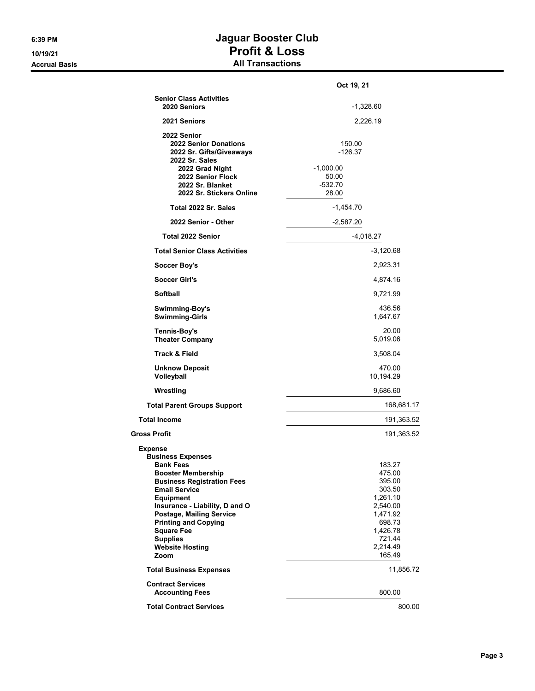## **6:39 PM Jaguar Booster Club 10/19/21 Profit & Loss Accrual Basis All Transactions**

|                                                                                                                                                                                                                                                                                                                                                            | Oct 19, 21                                                                                                                     |  |
|------------------------------------------------------------------------------------------------------------------------------------------------------------------------------------------------------------------------------------------------------------------------------------------------------------------------------------------------------------|--------------------------------------------------------------------------------------------------------------------------------|--|
| <b>Senior Class Activities</b><br>2020 Seniors                                                                                                                                                                                                                                                                                                             | $-1,328.60$                                                                                                                    |  |
| 2021 Seniors                                                                                                                                                                                                                                                                                                                                               | 2,226.19                                                                                                                       |  |
| 2022 Senior<br><b>2022 Senior Donations</b><br>2022 Sr. Gifts/Giveaways<br>2022 Sr. Sales<br>2022 Grad Night<br>2022 Senior Flock<br>2022 Sr. Blanket<br>2022 Sr. Stickers Online                                                                                                                                                                          | 150.00<br>$-126.37$<br>$-1,000.00$<br>50.00<br>$-532.70$<br>28.00                                                              |  |
| Total 2022 Sr. Sales                                                                                                                                                                                                                                                                                                                                       | $-1,454.70$                                                                                                                    |  |
| 2022 Senior - Other                                                                                                                                                                                                                                                                                                                                        | $-2,587.20$                                                                                                                    |  |
| <b>Total 2022 Senior</b>                                                                                                                                                                                                                                                                                                                                   | -4,018.27                                                                                                                      |  |
| <b>Total Senior Class Activities</b>                                                                                                                                                                                                                                                                                                                       | $-3,120.68$                                                                                                                    |  |
| <b>Soccer Boy's</b>                                                                                                                                                                                                                                                                                                                                        | 2,923.31                                                                                                                       |  |
| <b>Soccer Girl's</b>                                                                                                                                                                                                                                                                                                                                       | 4,874.16                                                                                                                       |  |
| Softball                                                                                                                                                                                                                                                                                                                                                   | 9,721.99                                                                                                                       |  |
| Swimming-Boy's<br><b>Swimming-Girls</b>                                                                                                                                                                                                                                                                                                                    | 436.56<br>1,647.67                                                                                                             |  |
| Tennis-Boy's<br><b>Theater Company</b>                                                                                                                                                                                                                                                                                                                     | 20.00<br>5,019.06                                                                                                              |  |
| <b>Track &amp; Field</b>                                                                                                                                                                                                                                                                                                                                   | 3,508.04                                                                                                                       |  |
| <b>Unknow Deposit</b><br>Volleyball                                                                                                                                                                                                                                                                                                                        | 470.00<br>10,194.29                                                                                                            |  |
| Wrestling                                                                                                                                                                                                                                                                                                                                                  | 9,686.60                                                                                                                       |  |
| <b>Total Parent Groups Support</b>                                                                                                                                                                                                                                                                                                                         | 168,681.17                                                                                                                     |  |
| <b>Total Income</b>                                                                                                                                                                                                                                                                                                                                        | 191,363.52                                                                                                                     |  |
| <b>Gross Profit</b>                                                                                                                                                                                                                                                                                                                                        | 191,363.52                                                                                                                     |  |
| <b>Expense</b><br><b>Business Expenses</b><br><b>Bank Fees</b><br><b>Booster Membership</b><br><b>Business Registration Fees</b><br><b>Email Service</b><br><b>Equipment</b><br>Insurance - Liability, D and O<br><b>Postage, Mailing Service</b><br><b>Printing and Copying</b><br><b>Square Fee</b><br><b>Supplies</b><br><b>Website Hosting</b><br>Zoom | 183.27<br>475.00<br>395.00<br>303.50<br>1,261.10<br>2,540.00<br>1,471.92<br>698.73<br>1,426.78<br>721.44<br>2,214.49<br>165.49 |  |
| <b>Total Business Expenses</b>                                                                                                                                                                                                                                                                                                                             | 11,856.72                                                                                                                      |  |
| <b>Contract Services</b><br><b>Accounting Fees</b>                                                                                                                                                                                                                                                                                                         | 800.00                                                                                                                         |  |
| <b>Total Contract Services</b>                                                                                                                                                                                                                                                                                                                             | 800.00                                                                                                                         |  |